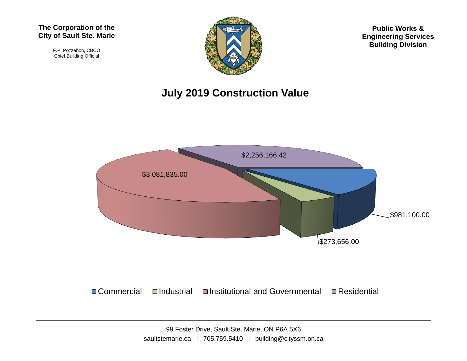#### **The Corporation of the City of Sault Ste. Marie**

F.P. Pozzebon, CBCO Chief Building Official



**Public Works & Engineering Services Building Division**

#### **July 2019 Construction Value**



 $\Box$  Commercial  $\Box$ Industrial  $\Box$ Institutional and Governmental  $\Box$  Residential

99 Foster Drive, Sault Ste. Marie, ON P6A 5X6 saultstemarie.ca | 705.759.5410 | building@cityssm.on.ca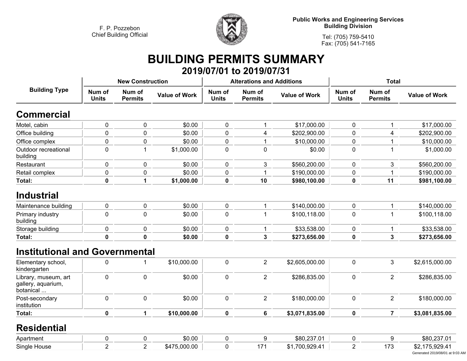

**Tel: (705) 759-5410Fax: (705) 541-7165**

# **BUILDING PERMITS SUMMARY 2019/07/01 to 2019/07/31**

| <b>Building Type</b>                                    |                        | <b>New Construction</b>  |                      |                        | <b>Alterations and Additions</b> |                      | <b>Total</b>           |                          |                      |
|---------------------------------------------------------|------------------------|--------------------------|----------------------|------------------------|----------------------------------|----------------------|------------------------|--------------------------|----------------------|
|                                                         | Num of<br><b>Units</b> | Num of<br><b>Permits</b> | <b>Value of Work</b> | Num of<br><b>Units</b> | Num of<br><b>Permits</b>         | <b>Value of Work</b> | Num of<br><b>Units</b> | Num of<br><b>Permits</b> | <b>Value of Work</b> |
| <b>Commercial</b>                                       |                        |                          |                      |                        |                                  |                      |                        |                          |                      |
| Motel, cabin                                            | $\pmb{0}$              | $\mathbf 0$              | \$0.00               | $\mathbf 0$            | 1                                | \$17,000.00          | $\pmb{0}$              | 1                        | \$17,000.00          |
| Office building                                         | $\mathbf 0$            | 0                        | \$0.00               | $\mathbf 0$            | 4                                | \$202,900.00         | $\mathbf 0$            | 4                        | \$202,900.00         |
| Office complex                                          | $\pmb{0}$              | 0                        | \$0.00               | $\pmb{0}$              | 1                                | \$10,000.00          | 0                      | 1                        | \$10,000.00          |
| Outdoor recreational<br>building                        | $\mathbf 0$            | 1                        | \$1,000.00           | $\mathbf 0$            | $\mathbf 0$                      | \$0.00               | $\mathbf 0$            | 1                        | \$1,000.00           |
| Restaurant                                              | $\mathbf 0$            | $\mathbf 0$              | \$0.00               | 0                      | 3                                | \$560,200.00         | 0                      | 3                        | \$560,200.00         |
| Retail complex                                          | $\mathbf 0$            | $\mathbf 0$              | \$0.00               | 0                      | 1                                | \$190,000.00         | 0                      | 1                        | \$190,000.00         |
| Total:                                                  | $\mathbf 0$            | 1                        | \$1,000.00           | $\mathbf 0$            | 10                               | \$980,100.00         | $\mathbf 0$            | 11                       | \$981,100.00         |
| <b>Industrial</b>                                       |                        |                          |                      |                        |                                  |                      |                        |                          |                      |
| Maintenance building                                    | 0                      | $\mathbf 0$              | \$0.00               | 0                      | 1                                | \$140,000.00         | 0                      |                          | \$140,000.00         |
| Primary industry<br>building                            | $\mathbf 0$            | 0                        | \$0.00               | $\mathbf 0$            | 1                                | \$100,118.00         | $\mathbf 0$            |                          | \$100,118.00         |
| Storage building                                        | $\mathbf 0$            | $\mathbf 0$              | \$0.00               | $\mathbf 0$            | 1                                | \$33,538.00          | 0                      | 1                        | \$33,538.00          |
| Total:                                                  | $\mathbf 0$            | $\mathbf 0$              | \$0.00               | $\mathbf 0$            | 3                                | \$273,656.00         | $\mathbf 0$            | 3                        | \$273,656.00         |
| <b>Institutional and Governmental</b>                   |                        |                          |                      |                        |                                  |                      |                        |                          |                      |
| Elementary school,<br>kindergarten                      | $\mathbf{0}$           |                          | \$10,000.00          | 0                      | $\overline{2}$                   | \$2,605,000.00       | 0                      | 3                        | \$2,615,000.00       |
| Library, museum, art<br>gallery, aquarium,<br>botanical | $\mathbf 0$            | $\mathbf 0$              | \$0.00               | $\mathbf 0$            | $\overline{2}$                   | \$286,835.00         | $\mathbf 0$            | $\overline{2}$           | \$286,835.00         |
| Post-secondary<br>institution                           | $\pmb{0}$              | $\mathbf 0$              | \$0.00               | 0                      | $\overline{2}$                   | \$180,000.00         | 0                      | $\overline{2}$           | \$180,000.00         |
| <b>Total:</b>                                           | $\mathbf 0$            | 1                        | \$10,000.00          | $\mathbf 0$            | 6                                | \$3,071,835.00       | $\mathbf 0$            | $\overline{7}$           | \$3,081,835.00       |
| <b>Residential</b>                                      |                        |                          |                      |                        |                                  |                      |                        |                          |                      |
| Apartment                                               | $\pmb{0}$              | $\mathbf 0$              | \$0.00               | $\mathbf 0$            | $\boldsymbol{9}$                 | \$80,237.01          | 0                      | 9                        | \$80,237.01          |
| Single House                                            | $\overline{2}$         | $\overline{2}$           | \$475,000.00         | $\mathbf 0$            | 171                              | \$1,700,929.41       | $\overline{2}$         | 173                      | \$2,175,929.41       |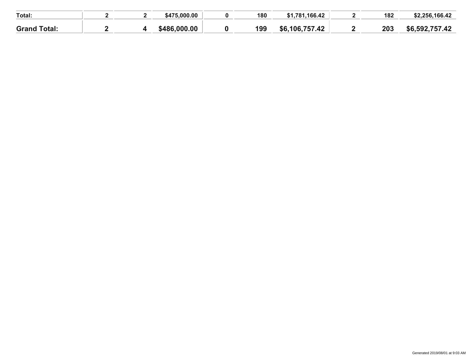| Total:              |  | \$475,000.00 | 180 | \$1,781,166.42     | 182 | \$2,256,166.42             |
|---------------------|--|--------------|-----|--------------------|-----|----------------------------|
| <b>Grand Total:</b> |  | 486,000.00   | 199 | ,106,757.42<br>\$6 | 203 | SG 592 757<br>$\mathbf{A}$ |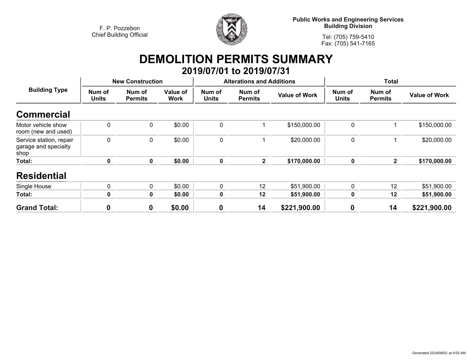

**Public Works and Engineering Services Building Division**

**Tel: (705) 759-5410Fax: (705) 541-7165**

# **DEMOLITION PERMITS SUMMARY 2019/07/01 to 2019/07/31**

| <b>Building Type</b>                                    | <b>New Construction</b> |                          |                         |                        | <b>Alterations and Additions</b> |                      | <b>Total</b>           |                          |                      |
|---------------------------------------------------------|-------------------------|--------------------------|-------------------------|------------------------|----------------------------------|----------------------|------------------------|--------------------------|----------------------|
|                                                         | Num of<br><b>Units</b>  | Num of<br><b>Permits</b> | Value of<br><b>Work</b> | Num of<br><b>Units</b> | Num of<br><b>Permits</b>         | <b>Value of Work</b> | Num of<br><b>Units</b> | Num of<br><b>Permits</b> | <b>Value of Work</b> |
| <b>Commercial</b>                                       |                         |                          |                         |                        |                                  |                      |                        |                          |                      |
| Motor vehicle show<br>room (new and used)               | $\mathbf 0$             | 0                        | \$0.00                  | 0                      |                                  | \$150,000.00         | 0                      |                          | \$150,000.00         |
| Service station, repair<br>garage and specialty<br>shop | $\mathbf 0$             | 0                        | \$0.00                  | 0                      |                                  | \$20,000.00          | $\mathbf 0$            |                          | \$20,000.00          |
| Total:                                                  | 0                       | $\mathbf{0}$             | \$0.00                  | 0                      | $\overline{2}$                   | \$170,000.00         | 0                      | $\mathbf{2}$             | \$170,000.00         |
| <b>Residential</b>                                      |                         |                          |                         |                        |                                  |                      |                        |                          |                      |
| Single House                                            | 0                       | $\mathbf{0}$             | \$0.00                  | 0                      | 12                               | \$51,900.00          | 0                      | 12                       | \$51,900.00          |
| Total:                                                  | $\bf{0}$                | 0                        | \$0.00                  | 0                      | 12                               | \$51,900.00          | 0                      | 12                       | \$51,900.00          |
| <b>Grand Total:</b>                                     | 0                       | 0                        | \$0.00                  | 0                      | 14                               | \$221,900.00         | $\bf{0}$               | 14                       | \$221,900.00         |